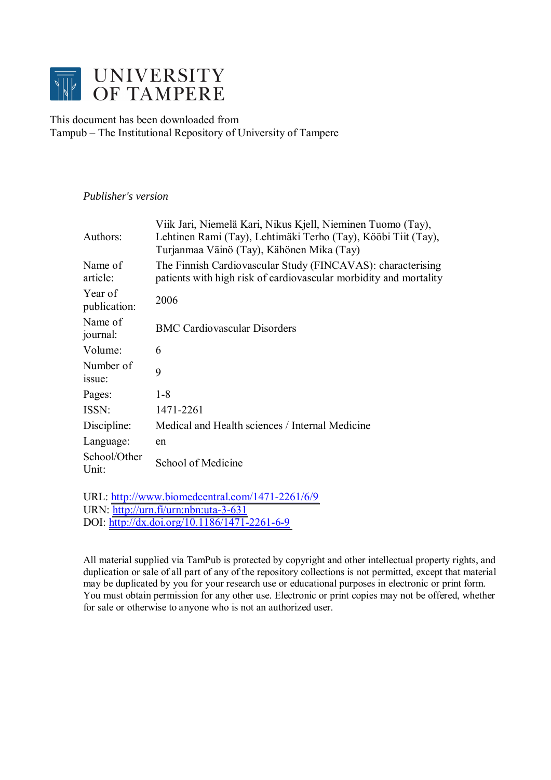

This document has been downloaded from Tampub – The Institutional Repository of University of Tampere

## *Publisher's version*

| Authors:                | Viik Jari, Niemelä Kari, Nikus Kjell, Nieminen Tuomo (Tay),<br>Lehtinen Rami (Tay), Lehtimäki Terho (Tay), Kööbi Tiit (Tay),<br>Turjanmaa Väinö (Tay), Kähönen Mika (Tay) |
|-------------------------|---------------------------------------------------------------------------------------------------------------------------------------------------------------------------|
| Name of<br>article:     | The Finnish Cardiovascular Study (FINCAVAS): characterising<br>patients with high risk of cardiovascular morbidity and mortality                                          |
| Year of<br>publication: | 2006                                                                                                                                                                      |
| Name of<br>journal:     | <b>BMC</b> Cardiovascular Disorders                                                                                                                                       |
| Volume:                 | 6                                                                                                                                                                         |
| Number of<br>issue:     | 9                                                                                                                                                                         |
| Pages:                  | $1 - 8$                                                                                                                                                                   |
| ISSN:                   | 1471-2261                                                                                                                                                                 |
| Discipline:             | Medical and Health sciences / Internal Medicine                                                                                                                           |
| Language:               | en                                                                                                                                                                        |
| School/Other<br>Unit:   | School of Medicine                                                                                                                                                        |
|                         |                                                                                                                                                                           |

URL: <http://www.biomedcentral.com/1471-2261/6/9> URN: <http://urn.fi/urn:nbn:uta-3-631> DOI: <http://dx.doi.org/10.1186/1471-2261-6-9>

All material supplied via TamPub is protected by copyright and other intellectual property rights, and duplication or sale of all part of any of the repository collections is not permitted, except that material may be duplicated by you for your research use or educational purposes in electronic or print form. You must obtain permission for any other use. Electronic or print copies may not be offered, whether for sale or otherwise to anyone who is not an authorized user.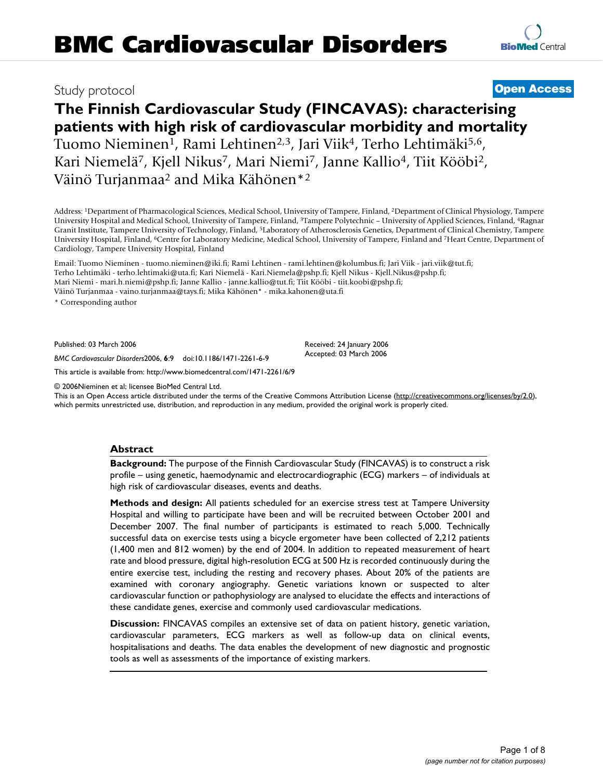# Study protocol **[Open Access](http://www.biomedcentral.com/info/about/charter/)**

# **The Finnish Cardiovascular Study (FINCAVAS): characterising patients with high risk of cardiovascular morbidity and mortality** Tuomo Nieminen<sup>1</sup>, Rami Lehtinen<sup>2,3</sup>, Jari Viik<sup>4</sup>, Terho Lehtimäki<sup>5,6</sup>, Kari Niemelä<sup>7</sup>, Kjell Nikus<sup>7</sup>, Mari Niemi<sup>7</sup>, Janne Kallio<sup>4</sup>, Tiit Kööbi<sup>2</sup>, Väinö Turjanmaa2 and Mika Kähönen\*2

Address: 1Department of Pharmacological Sciences, Medical School, University of Tampere, Finland, 2Department of Clinical Physiology, Tampere University Hospital and Medical School, University of Tampere, Finland, 3Tampere Polytechnic – University of Applied Sciences, Finland, 4Ragnar Granit Institute, Tampere University of Technology, Finland, 5Laboratory of Atherosclerosis Genetics, Department of Clinical Chemistry, Tampere University Hospital, Finland, 6Centre for Laboratory Medicine, Medical School, University of Tampere, Finland and 7Heart Centre, Department of Cardiology, Tampere University Hospital, Finland

Email: Tuomo Nieminen - tuomo.nieminen@iki.fi; Rami Lehtinen - rami.lehtinen@kolumbus.fi; Jari Viik - jari.viik@tut.fi; Terho Lehtimäki - terho.lehtimaki@uta.fi; Kari Niemelä - Kari.Niemela@pshp.fi; Kjell Nikus - Kjell.Nikus@pshp.fi; Mari Niemi - mari.h.niemi@pshp.fi; Janne Kallio - janne.kallio@tut.fi; Tiit Kööbi - tiit.koobi@pshp.fi; Väinö Turjanmaa - vaino.turjanmaa@tays.fi; Mika Kähönen\* - mika.kahonen@uta.fi

\* Corresponding author

Published: 03 March 2006

*BMC Cardiovascular Disorders*2006, **6**:9 doi:10.1186/1471-2261-6-9

[This article is available from: http://www.biomedcentral.com/1471-2261/6/9](http://www.biomedcentral.com/1471-2261/6/9)

© 2006Nieminen et al; licensee BioMed Central Ltd.

This is an Open Access article distributed under the terms of the Creative Commons Attribution License [\(http://creativecommons.org/licenses/by/2.0\)](http://creativecommons.org/licenses/by/2.0), which permits unrestricted use, distribution, and reproduction in any medium, provided the original work is properly cited.

#### **Abstract**

**Background:** The purpose of the Finnish Cardiovascular Study (FINCAVAS) is to construct a risk profile – using genetic, haemodynamic and electrocardiographic (ECG) markers – of individuals at high risk of cardiovascular diseases, events and deaths.

**Methods and design:** All patients scheduled for an exercise stress test at Tampere University Hospital and willing to participate have been and will be recruited between October 2001 and December 2007. The final number of participants is estimated to reach 5,000. Technically successful data on exercise tests using a bicycle ergometer have been collected of 2,212 patients (1,400 men and 812 women) by the end of 2004. In addition to repeated measurement of heart rate and blood pressure, digital high-resolution ECG at 500 Hz is recorded continuously during the entire exercise test, including the resting and recovery phases. About 20% of the patients are examined with coronary angiography. Genetic variations known or suspected to alter cardiovascular function or pathophysiology are analysed to elucidate the effects and interactions of these candidate genes, exercise and commonly used cardiovascular medications.

**Discussion:** FINCAVAS compiles an extensive set of data on patient history, genetic variation, cardiovascular parameters, ECG markers as well as follow-up data on clinical events, hospitalisations and deaths. The data enables the development of new diagnostic and prognostic tools as well as assessments of the importance of existing markers.

Received: 24 January 2006 Accepted: 03 March 2006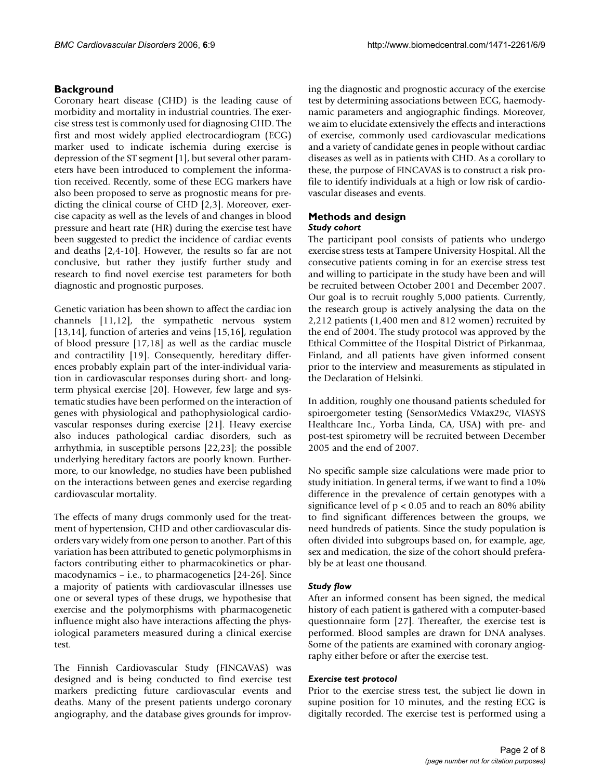### **Background**

Coronary heart disease (CHD) is the leading cause of morbidity and mortality in industrial countries. The exercise stress test is commonly used for diagnosing CHD. The first and most widely applied electrocardiogram (ECG) marker used to indicate ischemia during exercise is depression of the ST segment [1], but several other parameters have been introduced to complement the information received. Recently, some of these ECG markers have also been proposed to serve as prognostic means for predicting the clinical course of CHD [2,3]. Moreover, exercise capacity as well as the levels of and changes in blood pressure and heart rate (HR) during the exercise test have been suggested to predict the incidence of cardiac events and deaths [2,4-10]. However, the results so far are not conclusive, but rather they justify further study and research to find novel exercise test parameters for both diagnostic and prognostic purposes.

Genetic variation has been shown to affect the cardiac ion channels [11,12], the sympathetic nervous system [13,14], function of arteries and veins [15,16], regulation of blood pressure [17,18] as well as the cardiac muscle and contractility [19]. Consequently, hereditary differences probably explain part of the inter-individual variation in cardiovascular responses during short- and longterm physical exercise [20]. However, few large and systematic studies have been performed on the interaction of genes with physiological and pathophysiological cardiovascular responses during exercise [21]. Heavy exercise also induces pathological cardiac disorders, such as arrhythmia, in susceptible persons [22,23]; the possible underlying hereditary factors are poorly known. Furthermore, to our knowledge, no studies have been published on the interactions between genes and exercise regarding cardiovascular mortality.

The effects of many drugs commonly used for the treatment of hypertension, CHD and other cardiovascular disorders vary widely from one person to another. Part of this variation has been attributed to genetic polymorphisms in factors contributing either to pharmacokinetics or pharmacodynamics – i.e., to pharmacogenetics [24-26]. Since a majority of patients with cardiovascular illnesses use one or several types of these drugs, we hypothesise that exercise and the polymorphisms with pharmacogenetic influence might also have interactions affecting the physiological parameters measured during a clinical exercise test.

The Finnish Cardiovascular Study (FINCAVAS) was designed and is being conducted to find exercise test markers predicting future cardiovascular events and deaths. Many of the present patients undergo coronary angiography, and the database gives grounds for improving the diagnostic and prognostic accuracy of the exercise test by determining associations between ECG, haemodynamic parameters and angiographic findings. Moreover, we aim to elucidate extensively the effects and interactions of exercise, commonly used cardiovascular medications and a variety of candidate genes in people without cardiac diseases as well as in patients with CHD. As a corollary to these, the purpose of FINCAVAS is to construct a risk profile to identify individuals at a high or low risk of cardiovascular diseases and events.

#### **Methods and design** *Study cohort*

The participant pool consists of patients who undergo exercise stress tests at Tampere University Hospital. All the consecutive patients coming in for an exercise stress test and willing to participate in the study have been and will be recruited between October 2001 and December 2007. Our goal is to recruit roughly 5,000 patients. Currently, the research group is actively analysing the data on the 2,212 patients (1,400 men and 812 women) recruited by the end of 2004. The study protocol was approved by the Ethical Committee of the Hospital District of Pirkanmaa, Finland, and all patients have given informed consent prior to the interview and measurements as stipulated in the Declaration of Helsinki.

In addition, roughly one thousand patients scheduled for spiroergometer testing (SensorMedics VMax29c, VIASYS Healthcare Inc., Yorba Linda, CA, USA) with pre- and post-test spirometry will be recruited between December 2005 and the end of 2007.

No specific sample size calculations were made prior to study initiation. In general terms, if we want to find a 10% difference in the prevalence of certain genotypes with a significance level of  $p < 0.05$  and to reach an 80% ability to find significant differences between the groups, we need hundreds of patients. Since the study population is often divided into subgroups based on, for example, age, sex and medication, the size of the cohort should preferably be at least one thousand.

#### *Study flow*

After an informed consent has been signed, the medical history of each patient is gathered with a computer-based questionnaire form [27]. Thereafter, the exercise test is performed. Blood samples are drawn for DNA analyses. Some of the patients are examined with coronary angiography either before or after the exercise test.

#### *Exercise test protocol*

Prior to the exercise stress test, the subject lie down in supine position for 10 minutes, and the resting ECG is digitally recorded. The exercise test is performed using a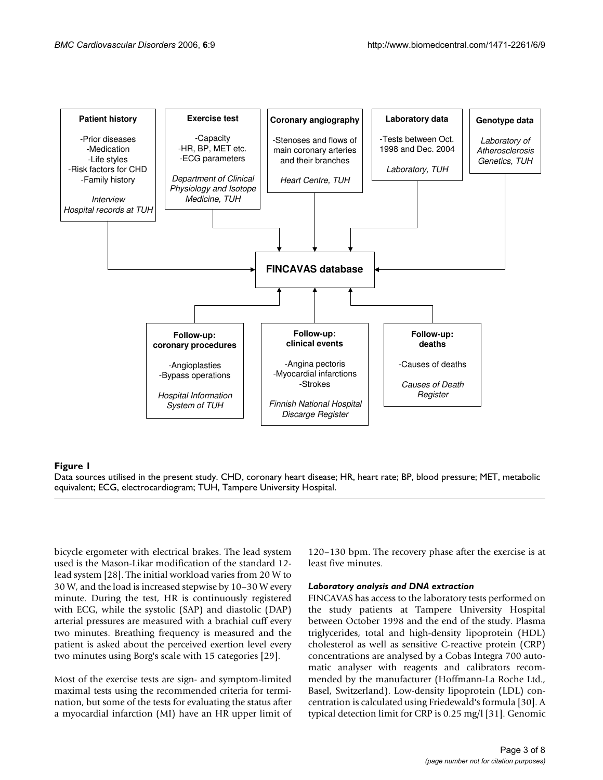

#### **Figure 1**

Data sources utilised in the present study. CHD, coronary heart disease; HR, heart rate; BP, blood pressure; MET, metabolic equivalent; ECG, electrocardiogram; TUH, Tampere University Hospital.

bicycle ergometer with electrical brakes. The lead system used is the Mason-Likar modification of the standard 12 lead system [28]. The initial workload varies from 20 W to 30 W, and the load is increased stepwise by 10–30 W every minute. During the test, HR is continuously registered with ECG, while the systolic (SAP) and diastolic (DAP) arterial pressures are measured with a brachial cuff every two minutes. Breathing frequency is measured and the patient is asked about the perceived exertion level every two minutes using Borg's scale with 15 categories [29].

Most of the exercise tests are sign- and symptom-limited maximal tests using the recommended criteria for termination, but some of the tests for evaluating the status after a myocardial infarction (MI) have an HR upper limit of

120–130 bpm. The recovery phase after the exercise is at least five minutes.

#### *Laboratory analysis and DNA extraction*

FINCAVAS has access to the laboratory tests performed on the study patients at Tampere University Hospital between October 1998 and the end of the study. Plasma triglycerides, total and high-density lipoprotein (HDL) cholesterol as well as sensitive C-reactive protein (CRP) concentrations are analysed by a Cobas Integra 700 automatic analyser with reagents and calibrators recommended by the manufacturer (Hoffmann-La Roche Ltd., Basel, Switzerland). Low-density lipoprotein (LDL) concentration is calculated using Friedewald's formula [30]. A typical detection limit for CRP is 0.25 mg/l [31]. Genomic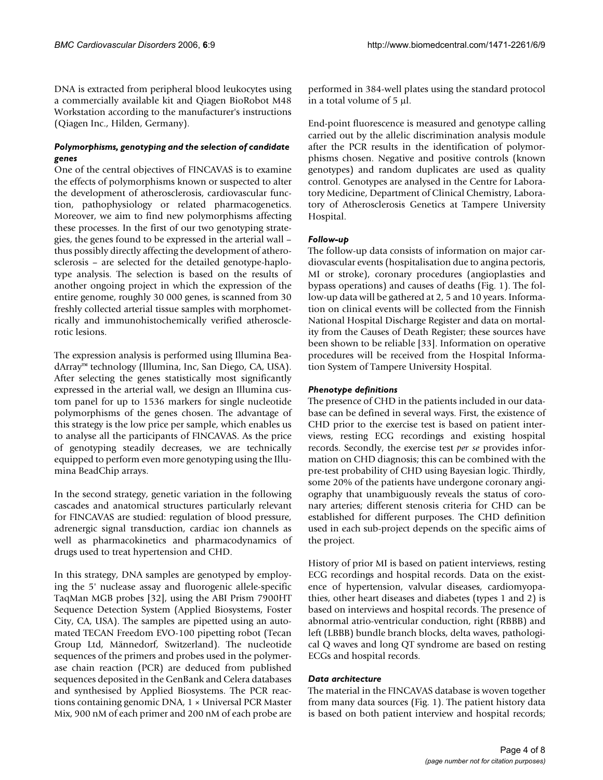DNA is extracted from peripheral blood leukocytes using a commercially available kit and Qiagen BioRobot M48 Workstation according to the manufacturer's instructions (Qiagen Inc., Hilden, Germany).

### *Polymorphisms, genotyping and the selection of candidate genes*

One of the central objectives of FINCAVAS is to examine the effects of polymorphisms known or suspected to alter the development of atherosclerosis, cardiovascular function, pathophysiology or related pharmacogenetics. Moreover, we aim to find new polymorphisms affecting these processes. In the first of our two genotyping strategies, the genes found to be expressed in the arterial wall – thus possibly directly affecting the development of atherosclerosis – are selected for the detailed genotype-haplotype analysis. The selection is based on the results of another ongoing project in which the expression of the entire genome, roughly 30 000 genes, is scanned from 30 freshly collected arterial tissue samples with morphometrically and immunohistochemically verified atherosclerotic lesions.

The expression analysis is performed using Illumina BeadArray™ technology (Illumina, Inc, San Diego, CA, USA). After selecting the genes statistically most significantly expressed in the arterial wall, we design an Illumina custom panel for up to 1536 markers for single nucleotide polymorphisms of the genes chosen. The advantage of this strategy is the low price per sample, which enables us to analyse all the participants of FINCAVAS. As the price of genotyping steadily decreases, we are technically equipped to perform even more genotyping using the Illumina BeadChip arrays.

In the second strategy, genetic variation in the following cascades and anatomical structures particularly relevant for FINCAVAS are studied: regulation of blood pressure, adrenergic signal transduction, cardiac ion channels as well as pharmacokinetics and pharmacodynamics of drugs used to treat hypertension and CHD.

In this strategy, DNA samples are genotyped by employing the 5' nuclease assay and fluorogenic allele-specific TaqMan MGB probes [32], using the ABI Prism 7900HT Sequence Detection System (Applied Biosystems, Foster City, CA, USA). The samples are pipetted using an automated TECAN Freedom EVO-100 pipetting robot (Tecan Group Ltd, Männedorf, Switzerland). The nucleotide sequences of the primers and probes used in the polymerase chain reaction (PCR) are deduced from published sequences deposited in the GenBank and Celera databases and synthesised by Applied Biosystems. The PCR reactions containing genomic DNA, 1 × Universal PCR Master Mix, 900 nM of each primer and 200 nM of each probe are performed in 384-well plates using the standard protocol in a total volume of 5 µl.

End-point fluorescence is measured and genotype calling carried out by the allelic discrimination analysis module after the PCR results in the identification of polymorphisms chosen. Negative and positive controls (known genotypes) and random duplicates are used as quality control. Genotypes are analysed in the Centre for Laboratory Medicine, Department of Clinical Chemistry, Laboratory of Atherosclerosis Genetics at Tampere University Hospital.

#### *Follow-up*

The follow-up data consists of information on major cardiovascular events (hospitalisation due to angina pectoris, MI or stroke), coronary procedures (angioplasties and bypass operations) and causes of deaths (Fig. 1). The follow-up data will be gathered at 2, 5 and 10 years. Information on clinical events will be collected from the Finnish National Hospital Discharge Register and data on mortality from the Causes of Death Register; these sources have been shown to be reliable [33]. Information on operative procedures will be received from the Hospital Information System of Tampere University Hospital.

#### *Phenotype definitions*

The presence of CHD in the patients included in our database can be defined in several ways. First, the existence of CHD prior to the exercise test is based on patient interviews, resting ECG recordings and existing hospital records. Secondly, the exercise test *per se* provides information on CHD diagnosis; this can be combined with the pre-test probability of CHD using Bayesian logic. Thirdly, some 20% of the patients have undergone coronary angiography that unambiguously reveals the status of coronary arteries; different stenosis criteria for CHD can be established for different purposes. The CHD definition used in each sub-project depends on the specific aims of the project.

History of prior MI is based on patient interviews, resting ECG recordings and hospital records. Data on the existence of hypertension, valvular diseases, cardiomyopathies, other heart diseases and diabetes (types 1 and 2) is based on interviews and hospital records. The presence of abnormal atrio-ventricular conduction, right (RBBB) and left (LBBB) bundle branch blocks, delta waves, pathological Q waves and long QT syndrome are based on resting ECGs and hospital records.

#### *Data architecture*

The material in the FINCAVAS database is woven together from many data sources (Fig. 1). The patient history data is based on both patient interview and hospital records;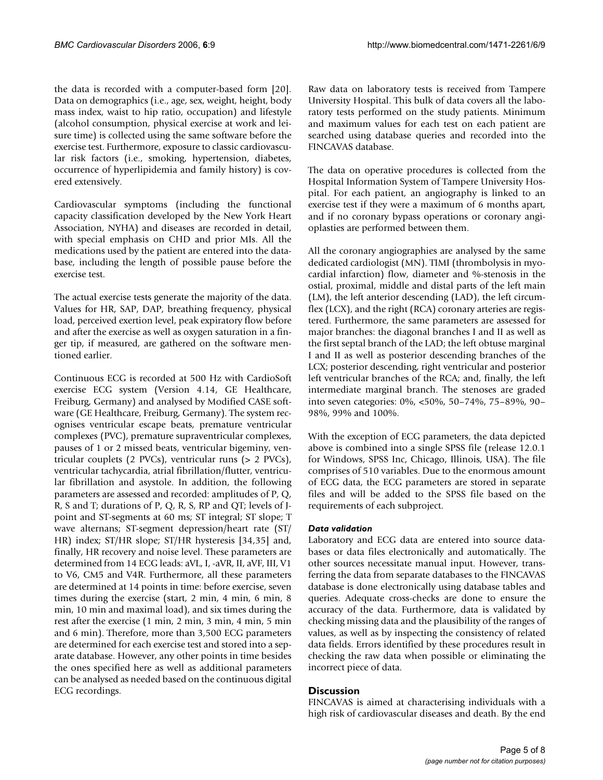the data is recorded with a computer-based form [20]. Data on demographics (i.e., age, sex, weight, height, body mass index, waist to hip ratio, occupation) and lifestyle (alcohol consumption, physical exercise at work and leisure time) is collected using the same software before the exercise test. Furthermore, exposure to classic cardiovascular risk factors (i.e., smoking, hypertension, diabetes, occurrence of hyperlipidemia and family history) is covered extensively.

Cardiovascular symptoms (including the functional capacity classification developed by the New York Heart Association, NYHA) and diseases are recorded in detail, with special emphasis on CHD and prior MIs. All the medications used by the patient are entered into the database, including the length of possible pause before the exercise test.

The actual exercise tests generate the majority of the data. Values for HR, SAP, DAP, breathing frequency, physical load, perceived exertion level, peak expiratory flow before and after the exercise as well as oxygen saturation in a finger tip, if measured, are gathered on the software mentioned earlier.

Continuous ECG is recorded at 500 Hz with CardioSoft exercise ECG system (Version 4.14, GE Healthcare, Freiburg, Germany) and analysed by Modified CASE software (GE Healthcare, Freiburg, Germany). The system recognises ventricular escape beats, premature ventricular complexes (PVC), premature supraventricular complexes, pauses of 1 or 2 missed beats, ventricular bigeminy, ventricular couplets (2 PVCs), ventricular runs (> 2 PVCs), ventricular tachycardia, atrial fibrillation/flutter, ventricular fibrillation and asystole. In addition, the following parameters are assessed and recorded: amplitudes of P, Q, R, S and T; durations of P, Q, R, S, RP and QT; levels of Jpoint and ST-segments at 60 ms; ST integral; ST slope; T wave alternans; ST-segment depression/heart rate (ST/ HR) index; ST/HR slope; ST/HR hysteresis [34,35] and, finally, HR recovery and noise level. These parameters are determined from 14 ECG leads: aVL, I, -aVR, II, aVF, III, V1 to V6, CM5 and V4R. Furthermore, all these parameters are determined at 14 points in time: before exercise, seven times during the exercise (start, 2 min, 4 min, 6 min, 8 min, 10 min and maximal load), and six times during the rest after the exercise (1 min, 2 min, 3 min, 4 min, 5 min and 6 min). Therefore, more than 3,500 ECG parameters are determined for each exercise test and stored into a separate database. However, any other points in time besides the ones specified here as well as additional parameters can be analysed as needed based on the continuous digital ECG recordings.

Raw data on laboratory tests is received from Tampere University Hospital. This bulk of data covers all the laboratory tests performed on the study patients. Minimum and maximum values for each test on each patient are searched using database queries and recorded into the FINCAVAS database.

The data on operative procedures is collected from the Hospital Information System of Tampere University Hospital. For each patient, an angiography is linked to an exercise test if they were a maximum of 6 months apart, and if no coronary bypass operations or coronary angioplasties are performed between them.

All the coronary angiographies are analysed by the same dedicated cardiologist (MN). TIMI (thrombolysis in myocardial infarction) flow, diameter and %-stenosis in the ostial, proximal, middle and distal parts of the left main (LM), the left anterior descending (LAD), the left circumflex (LCX), and the right (RCA) coronary arteries are registered. Furthermore, the same parameters are assessed for major branches: the diagonal branches I and II as well as the first septal branch of the LAD; the left obtuse marginal I and II as well as posterior descending branches of the LCX; posterior descending, right ventricular and posterior left ventricular branches of the RCA; and, finally, the left intermediate marginal branch. The stenoses are graded into seven categories: 0%, <50%, 50–74%, 75–89%, 90– 98%, 99% and 100%.

With the exception of ECG parameters, the data depicted above is combined into a single SPSS file (release 12.0.1 for Windows, SPSS Inc, Chicago, Illinois, USA). The file comprises of 510 variables. Due to the enormous amount of ECG data, the ECG parameters are stored in separate files and will be added to the SPSS file based on the requirements of each subproject.

#### *Data validation*

Laboratory and ECG data are entered into source databases or data files electronically and automatically. The other sources necessitate manual input. However, transferring the data from separate databases to the FINCAVAS database is done electronically using database tables and queries. Adequate cross-checks are done to ensure the accuracy of the data. Furthermore, data is validated by checking missing data and the plausibility of the ranges of values, as well as by inspecting the consistency of related data fields. Errors identified by these procedures result in checking the raw data when possible or eliminating the incorrect piece of data.

#### **Discussion**

FINCAVAS is aimed at characterising individuals with a high risk of cardiovascular diseases and death. By the end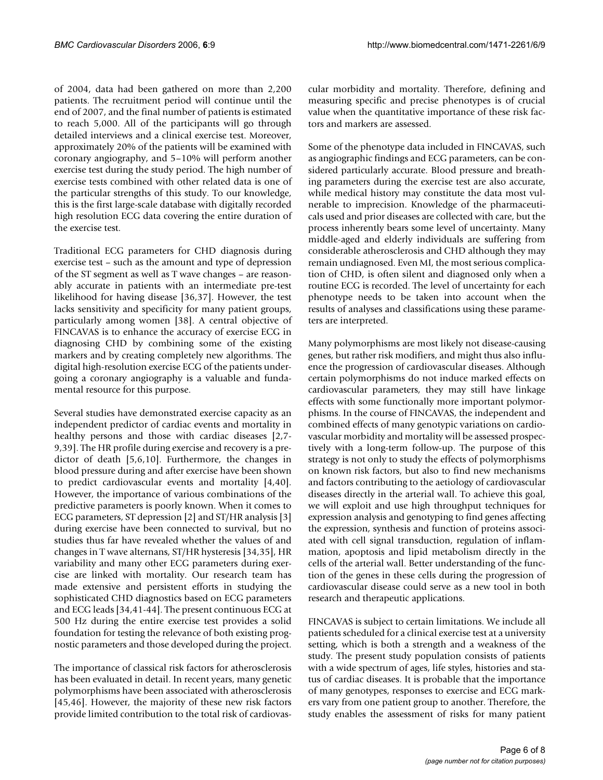of 2004, data had been gathered on more than 2,200 patients. The recruitment period will continue until the end of 2007, and the final number of patients is estimated to reach 5,000. All of the participants will go through detailed interviews and a clinical exercise test. Moreover, approximately 20% of the patients will be examined with coronary angiography, and 5–10% will perform another exercise test during the study period. The high number of exercise tests combined with other related data is one of the particular strengths of this study. To our knowledge, this is the first large-scale database with digitally recorded high resolution ECG data covering the entire duration of the exercise test.

Traditional ECG parameters for CHD diagnosis during exercise test – such as the amount and type of depression of the ST segment as well as T wave changes – are reasonably accurate in patients with an intermediate pre-test likelihood for having disease [36,37]. However, the test lacks sensitivity and specificity for many patient groups, particularly among women [38]. A central objective of FINCAVAS is to enhance the accuracy of exercise ECG in diagnosing CHD by combining some of the existing markers and by creating completely new algorithms. The digital high-resolution exercise ECG of the patients undergoing a coronary angiography is a valuable and fundamental resource for this purpose.

Several studies have demonstrated exercise capacity as an independent predictor of cardiac events and mortality in healthy persons and those with cardiac diseases [2,7- 9,39]. The HR profile during exercise and recovery is a predictor of death [5,6,10]. Furthermore, the changes in blood pressure during and after exercise have been shown to predict cardiovascular events and mortality [4,40]. However, the importance of various combinations of the predictive parameters is poorly known. When it comes to ECG parameters, ST depression [2] and ST/HR analysis [3] during exercise have been connected to survival, but no studies thus far have revealed whether the values of and changes in T wave alternans, ST/HR hysteresis [34,35], HR variability and many other ECG parameters during exercise are linked with mortality. Our research team has made extensive and persistent efforts in studying the sophisticated CHD diagnostics based on ECG parameters and ECG leads [34,41-44]. The present continuous ECG at 500 Hz during the entire exercise test provides a solid foundation for testing the relevance of both existing prognostic parameters and those developed during the project.

The importance of classical risk factors for atherosclerosis has been evaluated in detail. In recent years, many genetic polymorphisms have been associated with atherosclerosis [45,46]. However, the majority of these new risk factors provide limited contribution to the total risk of cardiovascular morbidity and mortality. Therefore, defining and measuring specific and precise phenotypes is of crucial value when the quantitative importance of these risk factors and markers are assessed.

Some of the phenotype data included in FINCAVAS, such as angiographic findings and ECG parameters, can be considered particularly accurate. Blood pressure and breathing parameters during the exercise test are also accurate, while medical history may constitute the data most vulnerable to imprecision. Knowledge of the pharmaceuticals used and prior diseases are collected with care, but the process inherently bears some level of uncertainty. Many middle-aged and elderly individuals are suffering from considerable atherosclerosis and CHD although they may remain undiagnosed. Even MI, the most serious complication of CHD, is often silent and diagnosed only when a routine ECG is recorded. The level of uncertainty for each phenotype needs to be taken into account when the results of analyses and classifications using these parameters are interpreted.

Many polymorphisms are most likely not disease-causing genes, but rather risk modifiers, and might thus also influence the progression of cardiovascular diseases. Although certain polymorphisms do not induce marked effects on cardiovascular parameters, they may still have linkage effects with some functionally more important polymorphisms. In the course of FINCAVAS, the independent and combined effects of many genotypic variations on cardiovascular morbidity and mortality will be assessed prospectively with a long-term follow-up. The purpose of this strategy is not only to study the effects of polymorphisms on known risk factors, but also to find new mechanisms and factors contributing to the aetiology of cardiovascular diseases directly in the arterial wall. To achieve this goal, we will exploit and use high throughput techniques for expression analysis and genotyping to find genes affecting the expression, synthesis and function of proteins associated with cell signal transduction, regulation of inflammation, apoptosis and lipid metabolism directly in the cells of the arterial wall. Better understanding of the function of the genes in these cells during the progression of cardiovascular disease could serve as a new tool in both research and therapeutic applications.

FINCAVAS is subject to certain limitations. We include all patients scheduled for a clinical exercise test at a university setting, which is both a strength and a weakness of the study. The present study population consists of patients with a wide spectrum of ages, life styles, histories and status of cardiac diseases. It is probable that the importance of many genotypes, responses to exercise and ECG markers vary from one patient group to another. Therefore, the study enables the assessment of risks for many patient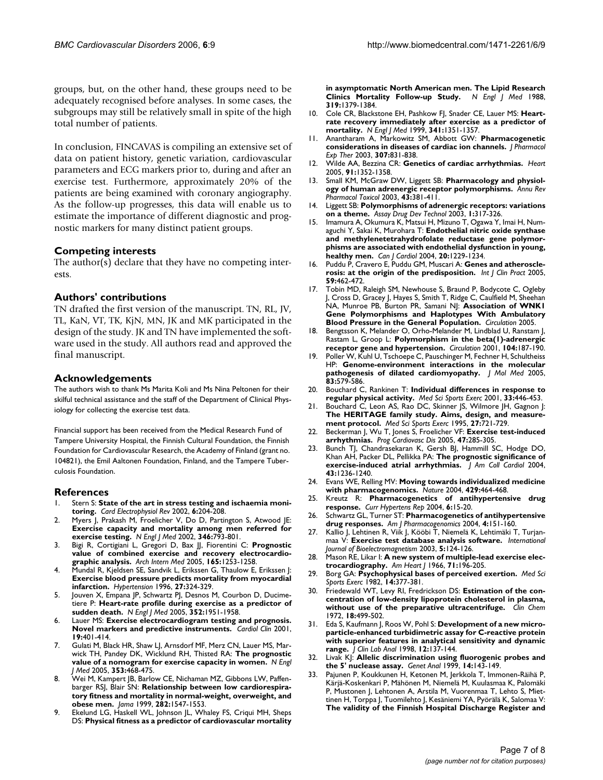groups, but, on the other hand, these groups need to be adequately recognised before analyses. In some cases, the subgroups may still be relatively small in spite of the high total number of patients.

In conclusion, FINCAVAS is compiling an extensive set of data on patient history, genetic variation, cardiovascular parameters and ECG markers prior to, during and after an exercise test. Furthermore, approximately 20% of the patients are being examined with coronary angiography. As the follow-up progresses, this data will enable us to estimate the importance of different diagnostic and prognostic markers for many distinct patient groups.

#### **Competing interests**

The author(s) declare that they have no competing interests.

#### **Authors' contributions**

TN drafted the first version of the manuscript. TN, RL, JV, TL, KaN, VT, TK, KjN, MN, JK and MK participated in the design of the study. JK and TN have implemented the software used in the study. All authors read and approved the final manuscript.

#### **Acknowledgements**

The authors wish to thank Ms Marita Koli and Ms Nina Peltonen for their skilful technical assistance and the staff of the Department of Clinical Physiology for collecting the exercise test data.

Financial support has been received from the Medical Research Fund of Tampere University Hospital, the Finnish Cultural Foundation, the Finnish Foundation for Cardiovascular Research, the Academy of Finland (grant no. 104821), the Emil Aaltonen Foundation, Finland, and the Tampere Tuberculosis Foundation.

#### **References**

- Stern S: [State of the art in stress testing and ischaemia moni](http://www.ncbi.nlm.nih.gov/entrez/query.fcgi?cmd=Retrieve&db=PubMed&dopt=Abstract&list_uids=12114839)**[toring.](http://www.ncbi.nlm.nih.gov/entrez/query.fcgi?cmd=Retrieve&db=PubMed&dopt=Abstract&list_uids=12114839)** *Card Electrophysiol Rev* 2002, **6:**204-208.
- 2. Myers J, Prakash M, Froelicher V, Do D, Partington S, Atwood JE: **[Exercise capacity and mortality among men referred for](http://www.ncbi.nlm.nih.gov/entrez/query.fcgi?cmd=Retrieve&db=PubMed&dopt=Abstract&list_uids=11893790) [exercise testing.](http://www.ncbi.nlm.nih.gov/entrez/query.fcgi?cmd=Retrieve&db=PubMed&dopt=Abstract&list_uids=11893790)** *N Engl J Med* 2002, **346:**793-801.
- 3. Bigi R, Cortigiani L, Gregori D, Bax JJ, Fiorentini C: **[Prognostic](http://www.ncbi.nlm.nih.gov/entrez/query.fcgi?cmd=Retrieve&db=PubMed&dopt=Abstract&list_uids=15956004) [value of combined exercise and recovery electrocardio](http://www.ncbi.nlm.nih.gov/entrez/query.fcgi?cmd=Retrieve&db=PubMed&dopt=Abstract&list_uids=15956004)[graphic analysis.](http://www.ncbi.nlm.nih.gov/entrez/query.fcgi?cmd=Retrieve&db=PubMed&dopt=Abstract&list_uids=15956004)** *Arch Intern Med* 2005, **165:**1253-1258.
- 4. Mundal R, Kjeldsen SE, Sandvik L, Erikssen G, Thaulow E, Erikssen J: **[Exercise blood pressure predicts mortality from myocardial](http://www.ncbi.nlm.nih.gov/entrez/query.fcgi?cmd=Retrieve&db=PubMed&dopt=Abstract&list_uids=8698433) [infarction.](http://www.ncbi.nlm.nih.gov/entrez/query.fcgi?cmd=Retrieve&db=PubMed&dopt=Abstract&list_uids=8698433)** *Hypertension* 1996, **27:**324-329.
- 5. Jouven X, Empana JP, Schwartz PJ, Desnos M, Courbon D, Ducimetiere P: **[Heart-rate profile during exercise as a predictor of](http://www.ncbi.nlm.nih.gov/entrez/query.fcgi?cmd=Retrieve&db=PubMed&dopt=Abstract&list_uids=15888695) [sudden death.](http://www.ncbi.nlm.nih.gov/entrez/query.fcgi?cmd=Retrieve&db=PubMed&dopt=Abstract&list_uids=15888695)** *N Engl J Med* 2005, **352:**1951-1958.
- 6. Lauer MS: **[Exercise electrocardiogram testing and prognosis.](http://www.ncbi.nlm.nih.gov/entrez/query.fcgi?cmd=Retrieve&db=PubMed&dopt=Abstract&list_uids=11570113) [Novel markers and predictive instruments.](http://www.ncbi.nlm.nih.gov/entrez/query.fcgi?cmd=Retrieve&db=PubMed&dopt=Abstract&list_uids=11570113)** *Cardiol Clin* 2001, **19:**401-414.
- 7. Gulati M, Black HR, Shaw LJ, Arnsdorf MF, Merz CN, Lauer MS, Marwick TH, Pandey DK, Wicklund RH, Thisted RA: **[The prognostic](http://www.ncbi.nlm.nih.gov/entrez/query.fcgi?cmd=Retrieve&db=PubMed&dopt=Abstract&list_uids=16079370) [value of a nomogram for exercise capacity in women.](http://www.ncbi.nlm.nih.gov/entrez/query.fcgi?cmd=Retrieve&db=PubMed&dopt=Abstract&list_uids=16079370)** *N Engl J Med* 2005, **353:**468-475.
- 8. Wei M, Kampert JB, Barlow CE, Nichaman MZ, Gibbons LW, Paffenbarger RSJ, Blair SN: **[Relationship between low cardiorespira](http://www.ncbi.nlm.nih.gov/entrez/query.fcgi?cmd=Retrieve&db=PubMed&dopt=Abstract&list_uids=10546694)[tory fitness and mortality in normal-weight, overweight, and](http://www.ncbi.nlm.nih.gov/entrez/query.fcgi?cmd=Retrieve&db=PubMed&dopt=Abstract&list_uids=10546694) [obese men.](http://www.ncbi.nlm.nih.gov/entrez/query.fcgi?cmd=Retrieve&db=PubMed&dopt=Abstract&list_uids=10546694)** *Jama* 1999, **282:**1547-1553.
- 9. Ekelund LG, Haskell WL, Johnson JL, Whaley FS, Criqui MH, Sheps DS: **[Physical fitness as a predictor of cardiovascular mortality](http://www.ncbi.nlm.nih.gov/entrez/query.fcgi?cmd=Retrieve&db=PubMed&dopt=Abstract&list_uids=3185648)**

**[in asymptomatic North American men. The Lipid Research](http://www.ncbi.nlm.nih.gov/entrez/query.fcgi?cmd=Retrieve&db=PubMed&dopt=Abstract&list_uids=3185648) [Clinics Mortality Follow-up Study.](http://www.ncbi.nlm.nih.gov/entrez/query.fcgi?cmd=Retrieve&db=PubMed&dopt=Abstract&list_uids=3185648)** *N Engl J Med* 1988, **319:**1379-1384.

- 10. Cole CR, Blackstone EH, Pashkow FJ, Snader CE, Lauer MS: **[Heart](http://www.ncbi.nlm.nih.gov/entrez/query.fcgi?cmd=Retrieve&db=PubMed&dopt=Abstract&list_uids=10536127)[rate recovery immediately after exercise as a predictor of](http://www.ncbi.nlm.nih.gov/entrez/query.fcgi?cmd=Retrieve&db=PubMed&dopt=Abstract&list_uids=10536127) [mortality.](http://www.ncbi.nlm.nih.gov/entrez/query.fcgi?cmd=Retrieve&db=PubMed&dopt=Abstract&list_uids=10536127)** *N Engl J Med* 1999, **341:**1351-1357.
- 11. Anantharam A, Markowitz SM, Abbott GW: **[Pharmacogenetic](http://www.ncbi.nlm.nih.gov/entrez/query.fcgi?cmd=Retrieve&db=PubMed&dopt=Abstract&list_uids=14561846) [considerations in diseases of cardiac ion channels.](http://www.ncbi.nlm.nih.gov/entrez/query.fcgi?cmd=Retrieve&db=PubMed&dopt=Abstract&list_uids=14561846)** *J Pharmacol Exp Ther* 2003, **307:**831-838.
- 12. Wilde AA, Bezzina CR: **[Genetics of cardiac arrhythmias.](http://www.ncbi.nlm.nih.gov/entrez/query.fcgi?cmd=Retrieve&db=PubMed&dopt=Abstract&list_uids=16162633)** *Heart* 2005, **91:**1352-1358.
- 13. Small KM, McGraw DW, Liggett SB: **[Pharmacology and physiol](http://www.ncbi.nlm.nih.gov/entrez/query.fcgi?cmd=Retrieve&db=PubMed&dopt=Abstract&list_uids=12540746)[ogy of human adrenergic receptor polymorphisms.](http://www.ncbi.nlm.nih.gov/entrez/query.fcgi?cmd=Retrieve&db=PubMed&dopt=Abstract&list_uids=12540746)** *Annu Rev Pharmacol Toxicol* 2003, **43:**381-411.
- 14. Liggett SB: **[Polymorphisms of adrenergic receptors: variations](http://www.ncbi.nlm.nih.gov/entrez/query.fcgi?cmd=Retrieve&db=PubMed&dopt=Abstract&list_uids=15090197) [on a theme.](http://www.ncbi.nlm.nih.gov/entrez/query.fcgi?cmd=Retrieve&db=PubMed&dopt=Abstract&list_uids=15090197)** *Assay Drug Dev Technol* 2003, **1:**317-326.
- 15. Imamura A, Okumura K, Matsui H, Mizuno T, Ogawa Y, Imai H, Numaguchi Y, Sakai K, Murohara T: **[Endothelial nitric oxide synthase](http://www.ncbi.nlm.nih.gov/entrez/query.fcgi?cmd=Retrieve&db=PubMed&dopt=Abstract&list_uids=15494775) and methylenetetrahydrofolate reductase gene polymor[phisms are associated with endothelial dysfunction in young,](http://www.ncbi.nlm.nih.gov/entrez/query.fcgi?cmd=Retrieve&db=PubMed&dopt=Abstract&list_uids=15494775) [healthy men.](http://www.ncbi.nlm.nih.gov/entrez/query.fcgi?cmd=Retrieve&db=PubMed&dopt=Abstract&list_uids=15494775)** *Can J Cardiol* 2004, **20:**1229-1234.
- 16. Puddu P, Cravero E, Puddu GM, Muscari A: **[Genes and atheroscle](http://www.ncbi.nlm.nih.gov/entrez/query.fcgi?cmd=Retrieve&db=PubMed&dopt=Abstract&list_uids=15853866)[rosis: at the origin of the predisposition.](http://www.ncbi.nlm.nih.gov/entrez/query.fcgi?cmd=Retrieve&db=PubMed&dopt=Abstract&list_uids=15853866)** *Int J Clin Pract* 2005, **59:**462-472.
- 17. Tobin MD, Raleigh SM, Newhouse S, Braund P, Bodycote C, Ogleby J, Cross D, Gracey J, Hayes S, Smith T, Ridge C, Caulfield M, Sheehan NA, Munroe PB, Burton PR, Samani NJ: **[Association of WNK1](http://www.ncbi.nlm.nih.gov/entrez/query.fcgi?cmd=Retrieve&db=PubMed&dopt=Abstract&list_uids=16301342) [Gene Polymorphisms and Haplotypes With Ambulatory](http://www.ncbi.nlm.nih.gov/entrez/query.fcgi?cmd=Retrieve&db=PubMed&dopt=Abstract&list_uids=16301342) [Blood Pressure in the General Population.](http://www.ncbi.nlm.nih.gov/entrez/query.fcgi?cmd=Retrieve&db=PubMed&dopt=Abstract&list_uids=16301342)** *Circulation* 2005.
- 18. Bengtsson K, Melander O, Orho-Melander M, Lindblad U, Ranstam J, Rastam L, Groop L: **[Polymorphism in the beta\(1\)-adrenergic](http://www.ncbi.nlm.nih.gov/entrez/query.fcgi?cmd=Retrieve&db=PubMed&dopt=Abstract&list_uids=11447084) [receptor gene and hypertension.](http://www.ncbi.nlm.nih.gov/entrez/query.fcgi?cmd=Retrieve&db=PubMed&dopt=Abstract&list_uids=11447084)** *Circulation* 2001, **104:**187-190.
- 19. Poller W, Kuhl U, Tschoepe C, Pauschinger M, Fechner H, Schultheiss HP: **[Genome-environment interactions in the molecular](http://www.ncbi.nlm.nih.gov/entrez/query.fcgi?cmd=Retrieve&db=PubMed&dopt=Abstract&list_uids=15931504) [pathogenesis of dilated cardiomyopathy.](http://www.ncbi.nlm.nih.gov/entrez/query.fcgi?cmd=Retrieve&db=PubMed&dopt=Abstract&list_uids=15931504)** *J Mol Med* 2005, **83:**579-586.
- 20. Bouchard C, Rankinen T: **Individual differences in response to regular physical activity.** *Med Sci Sports Exerc* 2001, **33:**446-453.
- 21. Bouchard C, Leon AS, Rao DC, Skinner JS, Wilmore JH, Gagnon J: **[The HERITAGE family study. Aims, design, and measure](http://www.ncbi.nlm.nih.gov/entrez/query.fcgi?cmd=Retrieve&db=PubMed&dopt=Abstract&list_uids=7674877)[ment protocol.](http://www.ncbi.nlm.nih.gov/entrez/query.fcgi?cmd=Retrieve&db=PubMed&dopt=Abstract&list_uids=7674877)** *Med Sci Sports Exerc* 1995, **27:**721-729.
- 22. Beckerman J, Wu T, Jones S, Froelicher VF: **[Exercise test-induced](http://www.ncbi.nlm.nih.gov/entrez/query.fcgi?cmd=Retrieve&db=PubMed&dopt=Abstract&list_uids=15991156) [arrhythmias.](http://www.ncbi.nlm.nih.gov/entrez/query.fcgi?cmd=Retrieve&db=PubMed&dopt=Abstract&list_uids=15991156)** *Prog Cardiovasc Dis* 2005, **47:**285-305.
- 23. Bunch TJ, Chandrasekaran K, Gersh BJ, Hammill SC, Hodge DO, Khan AH, Packer DL, Pellikka PA: **[The prognostic significance of](http://www.ncbi.nlm.nih.gov/entrez/query.fcgi?cmd=Retrieve&db=PubMed&dopt=Abstract&list_uids=15063436) [exercise-induced atrial arrhythmias.](http://www.ncbi.nlm.nih.gov/entrez/query.fcgi?cmd=Retrieve&db=PubMed&dopt=Abstract&list_uids=15063436)** *J Am Coll Cardiol* 2004, **43:**1236-1240.
- 24. Evans WE, Relling MV: **[Moving towards individualized medicine](http://www.ncbi.nlm.nih.gov/entrez/query.fcgi?cmd=Retrieve&db=PubMed&dopt=Abstract&list_uids=15164072) [with pharmacogenomics.](http://www.ncbi.nlm.nih.gov/entrez/query.fcgi?cmd=Retrieve&db=PubMed&dopt=Abstract&list_uids=15164072)** *Nature* 2004, **429:**464-468.
- 25. Kreutz R: **[Pharmacogenetics of antihypertensive drug](http://www.ncbi.nlm.nih.gov/entrez/query.fcgi?cmd=Retrieve&db=PubMed&dopt=Abstract&list_uids=14972084) [response.](http://www.ncbi.nlm.nih.gov/entrez/query.fcgi?cmd=Retrieve&db=PubMed&dopt=Abstract&list_uids=14972084)** *Curr Hypertens Rep* 2004, **6:**15-20.
- 26. Schwartz GL, Turner ST: **[Pharmacogenetics of antihypertensive](http://www.ncbi.nlm.nih.gov/entrez/query.fcgi?cmd=Retrieve&db=PubMed&dopt=Abstract&list_uids=15174896) [drug responses.](http://www.ncbi.nlm.nih.gov/entrez/query.fcgi?cmd=Retrieve&db=PubMed&dopt=Abstract&list_uids=15174896)** *Am J Pharmacogenomics* 2004, **4:**151-160.
- 27. Kallio J, Lehtinen R, Viik J, Kööbi T, Niemelä K, Lehtimäki T, Turjanmaa V: **Exercise test database analysis software.** *International Journal of Bioelectromagnetism* 2003, **5:**124-126.
- 28. Mason RE, Likar I: **[A new system of multiple-lead exercise elec](http://www.ncbi.nlm.nih.gov/entrez/query.fcgi?cmd=Retrieve&db=PubMed&dopt=Abstract&list_uids=5902099)[trocardiography.](http://www.ncbi.nlm.nih.gov/entrez/query.fcgi?cmd=Retrieve&db=PubMed&dopt=Abstract&list_uids=5902099)** *Am Heart J* 1966, **71:**196-205.
- 29. Borg GA: **[Psychophysical bases of perceived exertion.](http://www.ncbi.nlm.nih.gov/entrez/query.fcgi?cmd=Retrieve&db=PubMed&dopt=Abstract&list_uids=7154893)** *Med Sci Sports Exerc* 1982, **14:**377-381.
- 30. Friedewald WT, Levy RI, Fredrickson DS: **[Estimation of the con](http://www.ncbi.nlm.nih.gov/entrez/query.fcgi?cmd=Retrieve&db=PubMed&dopt=Abstract&list_uids=4337382)[centration of low-density lipoprotein cholesterol in plasma,](http://www.ncbi.nlm.nih.gov/entrez/query.fcgi?cmd=Retrieve&db=PubMed&dopt=Abstract&list_uids=4337382) [without use of the preparative ultracentrifuge.](http://www.ncbi.nlm.nih.gov/entrez/query.fcgi?cmd=Retrieve&db=PubMed&dopt=Abstract&list_uids=4337382)** *Clin Chem* 1972, **18:**499-502.
- 31. Eda S, Kaufmann J, Roos W, Pohl S: **[Development of a new micro](http://www.ncbi.nlm.nih.gov/entrez/query.fcgi?cmd=Retrieve&db=PubMed&dopt=Abstract&list_uids=9591699)particle-enhanced turbidimetric assay for C-reactive protein [with superior features in analytical sensitivity and dynamic](http://www.ncbi.nlm.nih.gov/entrez/query.fcgi?cmd=Retrieve&db=PubMed&dopt=Abstract&list_uids=9591699) [range.](http://www.ncbi.nlm.nih.gov/entrez/query.fcgi?cmd=Retrieve&db=PubMed&dopt=Abstract&list_uids=9591699)** *J Clin Lab Anal* 1998, **12:**137-144.
- 32. Livak KJ: **[Allelic discrimination using fluorogenic probes and](http://www.ncbi.nlm.nih.gov/entrez/query.fcgi?cmd=Retrieve&db=PubMed&dopt=Abstract&list_uids=10084106) [the 5' nuclease assay.](http://www.ncbi.nlm.nih.gov/entrez/query.fcgi?cmd=Retrieve&db=PubMed&dopt=Abstract&list_uids=10084106)** *Genet Anal* 1999, **14:**143-149.
- 33. Pajunen P, Koukkunen H, Ketonen M, Jerkkola T, Immonen-Räihä P, Kärjä-Koskenkari P, Mähönen M, Niemelä M, Kuulasmaa K, Palomäki P, Mustonen J, Lehtonen A, Arstila M, Vuorenmaa T, Lehto S, Miettinen H, Torppa J, Tuomilehto J, Kesäniemi YA, Pyörälä K, Salomaa V: **[The validity of the Finnish Hospital Discharge Register and](http://www.ncbi.nlm.nih.gov/entrez/query.fcgi?cmd=Retrieve&db=PubMed&dopt=Abstract&list_uids=15785298)**